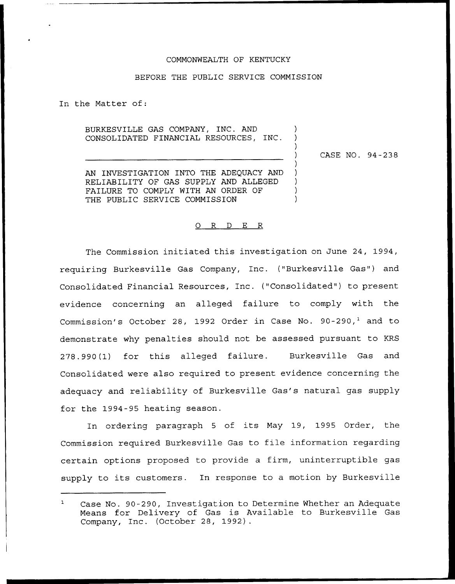#### COMMONWEALTH OF KENTUCKY

### BEFORE THE PUBLIC SERVICE COMMISSION

In the Matter of:

BURKESVILLE GAS COMPANY, INC. AND CONSOLIDATED FINANCIAL RESOURCES, INC.

CASE NO. 94-238

 $\lambda$ 

AN INVESTIGATION INTO THE ADEQUACY AND RELIABILITY OF GAS SUPPLY AND ALLEGED FAILURE TO COMPLY WITH AN ORDER OF THE PUBLIC SERVICE COMMISSION

#### 0 R <sup>D</sup> E R

The Commission initiated this investigation on June 24, 1994, requiring Burkesville Gas Company, Inc. ("Burkesville Gas") and Consolidated Financial Resources, Inc. ("Consolidated") to present evidence concerning an alleged failure to comply with the Commission's October 28, 1992 Order in Case No. 90-290,<sup>1</sup> and to demonstrate why penalties should not be assessed pursuant to KRS 278.990(1) for this alleged failure. Burkesville Gas and Consolidated were also required to present evidence concerning the adequacy and reliability of Burkesville Gas's natural gas supply for the 1994-95 heating season.

In ordering paragraph <sup>5</sup> of its May 19, 1995 Order, the Commission required Burkesville Gas to file information regarding certain options proposed to provide a firm, uninterruptible gas supply to its customers. In response to <sup>a</sup> motion by Burkesville

 $\mathbf{1}$ Case No. 90-290, Investigation to Determine Whether an Adequate Means for Delivery of Gas is Available to Burkesville Gas Company, Inc. (October 28, 1992).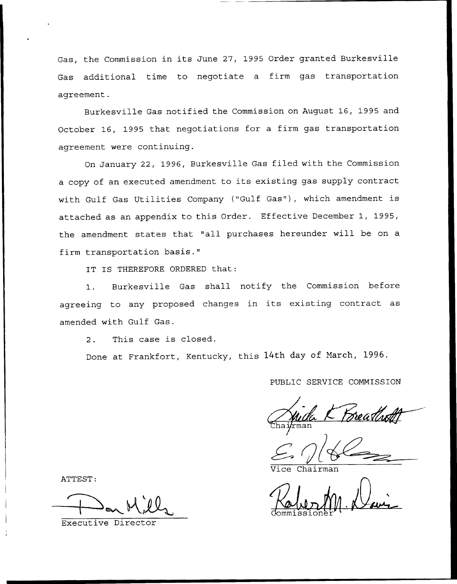Gas, the Commission in its June 27, 1995 Order granted Burkesville Gas additional time to negotiate a firm gas transportation agreement.

Burkesville Gas notified the Commission on August 16, 1995 and October 16, 1995 that negotiations for a firm gas transportation agreement were continuing.

On January 22, 1996, Burkesville Gas filed with the Commission <sup>a</sup> copy of an executed amendment to its existing gas supply contract with Gulf Gas Utilities Company ("Gulf Gas"), which amendment is attached as an appendix to this Order. Effective December 1, 1995, the amendment states that "all purchases hereunder will be on <sup>a</sup> firm transportation basis."

IT IS THEREFORE ORDERED that:

1. Burkesville Gas shall notify the Commission before agreeing to any proposed changes in its existing contract as amended with Gulf Gas.

2. This case is closed.

Done at Frankfort, Kentucky, this 14th day of March, 1996.

PUBLIC SERVICE CONNISSION

 $\overline{k}$ man

Chairman

Commissioner" '

ATTEST

Executive Director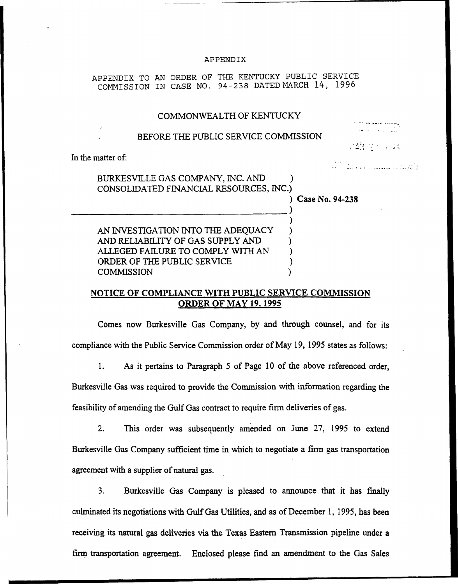#### APPENDIX

APPENDIX TO AN ORDER OF THE KENTUCKY PUBLIC SERVICE COMMISSION IN CASE NO. 94-23S DATED MARCH 14, 1996

## COMMONWEALTH OF KENTUCKY

## BEFORE THE PUBLIC SERVICE COMMISSION

I J

د اما به میکنند و مصر مصر استفاده به اینکه

In the matter of:

BURKESVILLE GAS COMPANY, INC. AND ) CONSOLIDATED FINANCIAL RESOURCES, INC.)

) Case No. 94-238

) )

AN INVESTIGATION INTO THE ADEQUACY AND RELIABILITY OF GAS SUPPLY AND ) ALLEGED FAILURE TO COMPLY WITH AN ) ORDER OF THE PUBLIC SERVICE **COMMISSION** 

# NOTICE OP COMPLIANCE WITH PUBLIC SERVICE COMMISSION ORDER OF MAY 19.1995

Comes now Burkesville Gas Company, by and through counsel, and for its compliance with the Public Service Commission order of May 19, 1995 states as follows:

 $1.$ As it pertains to Paragraph 5 of Page 10 of the above referenced order, Burkesville Gas was required to provide the Commission with information regarding the feasibility of amending the Gulf Gas contract to require firm deliveries of gas.

2. This order was subsequently amended on June 27, 1995 to extend Burkesville Gas Company sufficient time in which to negotiate a firm gas transportation agreement with a supplier of natural gas.

3. Burkesville Gas Company is pleased to announce that it has finally culminated its negotiations with Gulf Gas Utilities, and as of December 1, 1995, has been receiving its natural gas deliveries via the Texas Eastern Transmission pipeline under a firm transportation agreement. Enclosed please find an amendment to the Gas Sales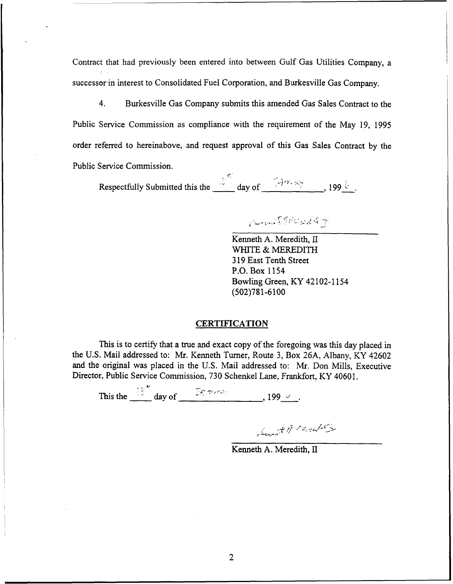Contract that had previously been entered into between Gulf Gas Utilities Company, a successor in interest to Consolidated Fuel Corporation, and Burkesville Gas Company.

4. Burkesville Gas Company submits this amended Gas Sales Contract to the Public Service Commission as compliance with the requirement of the May 19, 1995 order referred to hereinabove, and request approval of this Gas Sales Contract by the Public Service Commission.

Respectfully Submitted this the  $\frac{d^{45}}{dx^{4}}$  day of  $\frac{1996}{x^{4}}$ , 199  $\frac{1}{x^{4}}$ .

Commit 9 How 1947

Kenneth A. Meredith, II WHITE & MEREDITH 319East Tenth Street P.O. Box 1154 Bowling Green, KY 42102-1154 (502)781-6100

## **CERTIFICATION**

This is to certify that a true and exact copy of the foregoing was this day placed in the U.S. Mail addressed to: Mr. Kenneth Turner, Route 3, Box 26A, Albany, KY 42602 and the original was placed in the U.S. Mail addressed to: Mr. Don Mills, Executive Director, Public Service Commission, 730 Schenkel Lane, Frankfort, KY 40601.

This the  $\frac{15}{2}$  day of  $\frac{96.36}{2}$ 

Sund of Market

Kenneth A. Meredith, II